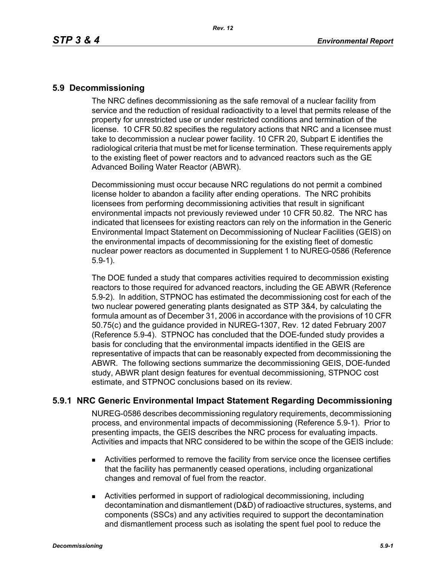## **5.9 Decommissioning**

The NRC defines decommissioning as the safe removal of a nuclear facility from service and the reduction of residual radioactivity to a level that permits release of the property for unrestricted use or under restricted conditions and termination of the license. 10 CFR 50.82 specifies the regulatory actions that NRC and a licensee must take to decommission a nuclear power facility. 10 CFR 20, Subpart E identifies the radiological criteria that must be met for license termination. These requirements apply to the existing fleet of power reactors and to advanced reactors such as the GE Advanced Boiling Water Reactor (ABWR).

Decommissioning must occur because NRC regulations do not permit a combined license holder to abandon a facility after ending operations. The NRC prohibits licensees from performing decommissioning activities that result in significant environmental impacts not previously reviewed under 10 CFR 50.82. The NRC has indicated that licensees for existing reactors can rely on the information in the Generic Environmental Impact Statement on Decommissioning of Nuclear Facilities (GEIS) on the environmental impacts of decommissioning for the existing fleet of domestic nuclear power reactors as documented in Supplement 1 to NUREG-0586 (Reference 5.9-1).

The DOE funded a study that compares activities required to decommission existing reactors to those required for advanced reactors, including the GE ABWR (Reference 5.9-2). In addition, STPNOC has estimated the decommissioning cost for each of the two nuclear powered generating plants designated as STP 3&4, by calculating the formula amount as of December 31, 2006 in accordance with the provisions of 10 CFR 50.75(c) and the guidance provided in NUREG-1307, Rev. 12 dated February 2007 (Reference 5.9-4). STPNOC has concluded that the DOE-funded study provides a basis for concluding that the environmental impacts identified in the GEIS are representative of impacts that can be reasonably expected from decommissioning the ABWR. The following sections summarize the decommissioning GEIS, DOE-funded study, ABWR plant design features for eventual decommissioning, STPNOC cost estimate, and STPNOC conclusions based on its review.

# **5.9.1 NRC Generic Environmental Impact Statement Regarding Decommissioning**

NUREG-0586 describes decommissioning regulatory requirements, decommissioning process, and environmental impacts of decommissioning (Reference 5.9-1). Prior to presenting impacts, the GEIS describes the NRC process for evaluating impacts. Activities and impacts that NRC considered to be within the scope of the GEIS include:

- Activities performed to remove the facility from service once the licensee certifies that the facility has permanently ceased operations, including organizational changes and removal of fuel from the reactor.
- Activities performed in support of radiological decommissioning, including decontamination and dismantlement (D&D) of radioactive structures, systems, and components (SSCs) and any activities required to support the decontamination and dismantlement process such as isolating the spent fuel pool to reduce the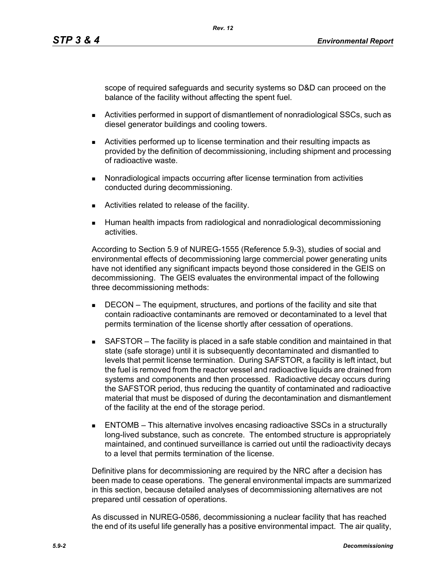scope of required safeguards and security systems so D&D can proceed on the balance of the facility without affecting the spent fuel.

- Activities performed in support of dismantlement of nonradiological SSCs, such as diesel generator buildings and cooling towers.
- Activities performed up to license termination and their resulting impacts as provided by the definition of decommissioning, including shipment and processing of radioactive waste.
- **Nonradiological impacts occurring after license termination from activities** conducted during decommissioning.

*Rev. 12*

- **EXEC** Activities related to release of the facility.
- Human health impacts from radiological and nonradiological decommissioning activities.

According to Section 5.9 of NUREG-1555 (Reference 5.9-3), studies of social and environmental effects of decommissioning large commercial power generating units have not identified any significant impacts beyond those considered in the GEIS on decommissioning. The GEIS evaluates the environmental impact of the following three decommissioning methods:

- **DECON** The equipment, structures, and portions of the facility and site that contain radioactive contaminants are removed or decontaminated to a level that permits termination of the license shortly after cessation of operations.
- SAFSTOR The facility is placed in a safe stable condition and maintained in that state (safe storage) until it is subsequently decontaminated and dismantled to levels that permit license termination. During SAFSTOR, a facility is left intact, but the fuel is removed from the reactor vessel and radioactive liquids are drained from systems and components and then processed. Radioactive decay occurs during the SAFSTOR period, thus reducing the quantity of contaminated and radioactive material that must be disposed of during the decontamination and dismantlement of the facility at the end of the storage period.
- ENTOMB This alternative involves encasing radioactive SSCs in a structurally long-lived substance, such as concrete. The entombed structure is appropriately maintained, and continued surveillance is carried out until the radioactivity decays to a level that permits termination of the license.

Definitive plans for decommissioning are required by the NRC after a decision has been made to cease operations. The general environmental impacts are summarized in this section, because detailed analyses of decommissioning alternatives are not prepared until cessation of operations.

As discussed in NUREG-0586, decommissioning a nuclear facility that has reached the end of its useful life generally has a positive environmental impact. The air quality,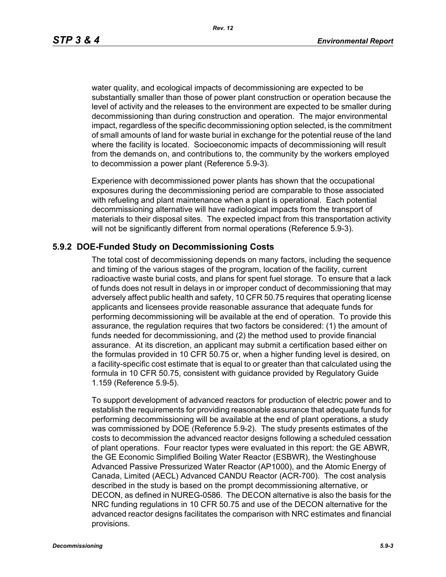*Rev. 12*

water quality, and ecological impacts of decommissioning are expected to be substantially smaller than those of power plant construction or operation because the level of activity and the releases to the environment are expected to be smaller during decommissioning than during construction and operation. The major environmental impact, regardless of the specific decommissioning option selected, is the commitment of small amounts of land for waste burial in exchange for the potential reuse of the land where the facility is located. Socioeconomic impacts of decommissioning will result from the demands on, and contributions to, the community by the workers employed to decommission a power plant (Reference 5.9-3).

Experience with decommissioned power plants has shown that the occupational exposures during the decommissioning period are comparable to those associated with refueling and plant maintenance when a plant is operational. Each potential decommissioning alternative will have radiological impacts from the transport of materials to their disposal sites. The expected impact from this transportation activity will not be significantly different from normal operations (Reference 5.9-3).

### **5.9.2 DOE-Funded Study on Decommissioning Costs**

The total cost of decommissioning depends on many factors, including the sequence and timing of the various stages of the program, location of the facility, current radioactive waste burial costs, and plans for spent fuel storage. To ensure that a lack of funds does not result in delays in or improper conduct of decommissioning that may adversely affect public health and safety, 10 CFR 50.75 requires that operating license applicants and licensees provide reasonable assurance that adequate funds for performing decommissioning will be available at the end of operation. To provide this assurance, the regulation requires that two factors be considered: (1) the amount of funds needed for decommissioning, and (2) the method used to provide financial assurance. At its discretion, an applicant may submit a certification based either on the formulas provided in 10 CFR 50.75 or, when a higher funding level is desired, on a facility-specific cost estimate that is equal to or greater than that calculated using the formula in 10 CFR 50.75, consistent with guidance provided by Regulatory Guide 1.159 (Reference 5.9-5).

To support development of advanced reactors for production of electric power and to establish the requirements for providing reasonable assurance that adequate funds for performing decommissioning will be available at the end of plant operations, a study was commissioned by DOE (Reference 5.9-2). The study presents estimates of the costs to decommission the advanced reactor designs following a scheduled cessation of plant operations. Four reactor types were evaluated in this report: the GE ABWR, the GE Economic Simplified Boiling Water Reactor (ESBWR), the Westinghouse Advanced Passive Pressurized Water Reactor (AP1000), and the Atomic Energy of Canada, Limited (AECL) Advanced CANDU Reactor (ACR-700). The cost analysis described in the study is based on the prompt decommissioning alternative, or DECON, as defined in NUREG-0586. The DECON alternative is also the basis for the NRC funding regulations in 10 CFR 50.75 and use of the DECON alternative for the advanced reactor designs facilitates the comparison with NRC estimates and financial provisions.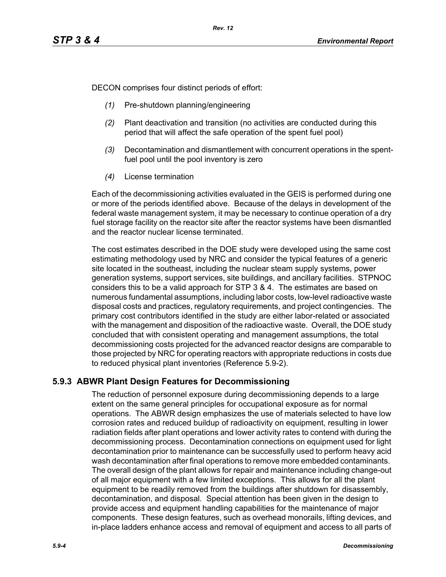DECON comprises four distinct periods of effort:

- *(1)* Pre-shutdown planning/engineering
- *(2)* Plant deactivation and transition (no activities are conducted during this period that will affect the safe operation of the spent fuel pool)
- *(3)* Decontamination and dismantlement with concurrent operations in the spentfuel pool until the pool inventory is zero
- *(4)* License termination

Each of the decommissioning activities evaluated in the GEIS is performed during one or more of the periods identified above. Because of the delays in development of the federal waste management system, it may be necessary to continue operation of a dry fuel storage facility on the reactor site after the reactor systems have been dismantled and the reactor nuclear license terminated.

The cost estimates described in the DOE study were developed using the same cost estimating methodology used by NRC and consider the typical features of a generic site located in the southeast, including the nuclear steam supply systems, power generation systems, support services, site buildings, and ancillary facilities. STPNOC considers this to be a valid approach for STP 3 & 4. The estimates are based on numerous fundamental assumptions, including labor costs, low-level radioactive waste disposal costs and practices, regulatory requirements, and project contingencies. The primary cost contributors identified in the study are either labor-related or associated with the management and disposition of the radioactive waste. Overall, the DOE study concluded that with consistent operating and management assumptions, the total decommissioning costs projected for the advanced reactor designs are comparable to those projected by NRC for operating reactors with appropriate reductions in costs due to reduced physical plant inventories (Reference 5.9-2).

# **5.9.3 ABWR Plant Design Features for Decommissioning**

The reduction of personnel exposure during decommissioning depends to a large extent on the same general principles for occupational exposure as for normal operations. The ABWR design emphasizes the use of materials selected to have low corrosion rates and reduced buildup of radioactivity on equipment, resulting in lower radiation fields after plant operations and lower activity rates to contend with during the decommissioning process. Decontamination connections on equipment used for light decontamination prior to maintenance can be successfully used to perform heavy acid wash decontamination after final operations to remove more embedded contaminants. The overall design of the plant allows for repair and maintenance including change-out of all major equipment with a few limited exceptions. This allows for all the plant equipment to be readily removed from the buildings after shutdown for disassembly, decontamination, and disposal. Special attention has been given in the design to provide access and equipment handling capabilities for the maintenance of major components. These design features, such as overhead monorails, lifting devices, and in-place ladders enhance access and removal of equipment and access to all parts of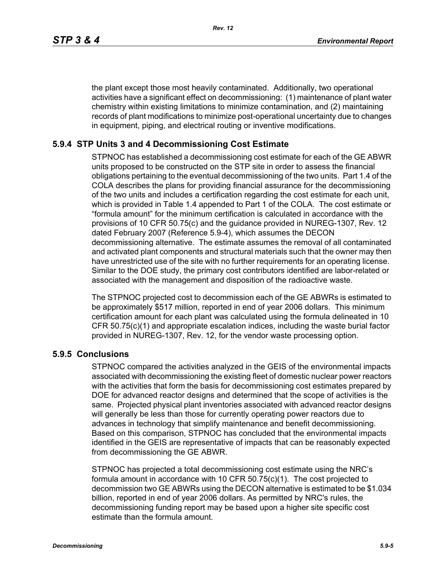the plant except those most heavily contaminated. Additionally, two operational activities have a significant effect on decommissioning: (1) maintenance of plant water chemistry within existing limitations to minimize contamination, and (2) maintaining records of plant modifications to minimize post-operational uncertainty due to changes in equipment, piping, and electrical routing or inventive modifications.

## **5.9.4 STP Units 3 and 4 Decommissioning Cost Estimate**

STPNOC has established a decommissioning cost estimate for each of the GE ABWR units proposed to be constructed on the STP site in order to assess the financial obligations pertaining to the eventual decommissioning of the two units. Part 1.4 of the COLA describes the plans for providing financial assurance for the decommissioning of the two units and includes a certification regarding the cost estimate for each unit, which is provided in Table 1.4 appended to Part 1 of the COLA. The cost estimate or "formula amount" for the minimum certification is calculated in accordance with the provisions of 10 CFR 50.75(c) and the guidance provided in NUREG-1307, Rev. 12 dated February 2007 (Reference 5.9-4), which assumes the DECON decommissioning alternative. The estimate assumes the removal of all contaminated and activated plant components and structural materials such that the owner may then have unrestricted use of the site with no further requirements for an operating license. Similar to the DOE study, the primary cost contributors identified are labor-related or associated with the management and disposition of the radioactive waste.

The STPNOC projected cost to decommission each of the GE ABWRs is estimated to be approximately \$517 million, reported in end of year 2006 dollars. This minimum certification amount for each plant was calculated using the formula delineated in 10 CFR 50.75(c)(1) and appropriate escalation indices, including the waste burial factor provided in NUREG-1307, Rev. 12, for the vendor waste processing option.

### **5.9.5 Conclusions**

STPNOC compared the activities analyzed in the GEIS of the environmental impacts associated with decommissioning the existing fleet of domestic nuclear power reactors with the activities that form the basis for decommissioning cost estimates prepared by DOE for advanced reactor designs and determined that the scope of activities is the same. Projected physical plant inventories associated with advanced reactor designs will generally be less than those for currently operating power reactors due to advances in technology that simplify maintenance and benefit decommissioning. Based on this comparison, STPNOC has concluded that the environmental impacts identified in the GEIS are representative of impacts that can be reasonably expected from decommissioning the GE ABWR.

STPNOC has projected a total decommissioning cost estimate using the NRC's formula amount in accordance with 10 CFR 50.75(c)(1). The cost projected to decommission two GE ABWRs using the DECON alternative is estimated to be \$1.034 billion, reported in end of year 2006 dollars. As permitted by NRC's rules, the decommissioning funding report may be based upon a higher site specific cost estimate than the formula amount.